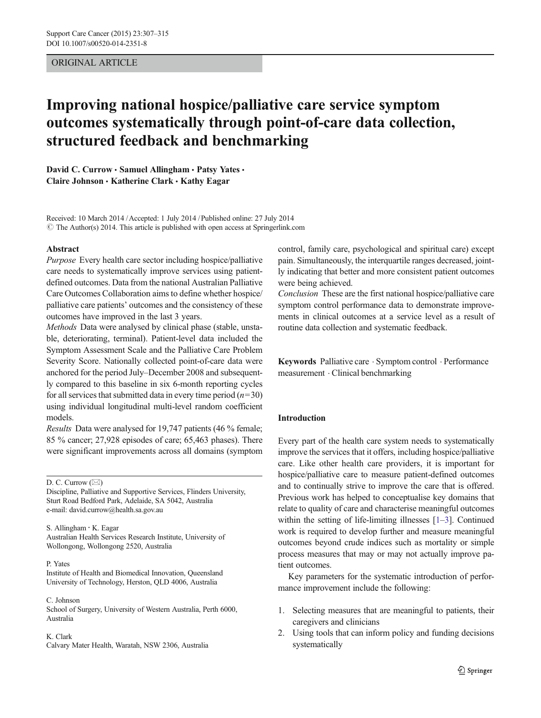# ORIGINAL ARTICLE

# Improving national hospice/palliative care service symptom outcomes systematically through point-of-care data collection, structured feedback and benchmarking

David C. Currow · Samuel Allingham · Patsy Yates · Claire Johnson • Katherine Clark • Kathy Eagar

Received: 10 March 2014 /Accepted: 1 July 2014 / Published online: 27 July 2014  $\odot$  The Author(s) 2014. This article is published with open access at Springerlink.com

## Abstract

Purpose Every health care sector including hospice/palliative care needs to systematically improve services using patientdefined outcomes. Data from the national Australian Palliative Care Outcomes Collaboration aims to define whether hospice/ palliative care patients' outcomes and the consistency of these outcomes have improved in the last 3 years.

Methods Data were analysed by clinical phase (stable, unstable, deteriorating, terminal). Patient-level data included the Symptom Assessment Scale and the Palliative Care Problem Severity Score. Nationally collected point-of-care data were anchored for the period July–December 2008 and subsequently compared to this baseline in six 6-month reporting cycles for all services that submitted data in every time period  $(n=30)$ using individual longitudinal multi-level random coefficient models.

Results Data were analysed for 19,747 patients (46 % female; 85 % cancer; 27,928 episodes of care; 65,463 phases). There were significant improvements across all domains (symptom

D. C. Currow  $(\boxtimes)$ 

S. Allingham : K. Eagar Australian Health Services Research Institute, University of Wollongong, Wollongong 2520, Australia

#### P. Yates

Institute of Health and Biomedical Innovation, Queensland University of Technology, Herston, QLD 4006, Australia

#### C. Johnson

School of Surgery, University of Western Australia, Perth 6000, Australia

## K. Clark

Calvary Mater Health, Waratah, NSW 2306, Australia

control, family care, psychological and spiritual care) except pain. Simultaneously, the interquartile ranges decreased, jointly indicating that better and more consistent patient outcomes were being achieved.

Conclusion These are the first national hospice/palliative care symptom control performance data to demonstrate improvements in clinical outcomes at a service level as a result of routine data collection and systematic feedback.

Keywords Palliative care . Symptom control . Performance measurement . Clinical benchmarking

## Introduction

Every part of the health care system needs to systematically improve the services that it offers, including hospice/palliative care. Like other health care providers, it is important for hospice/palliative care to measure patient-defined outcomes and to continually strive to improve the care that is offered. Previous work has helped to conceptualise key domains that relate to quality of care and characterise meaningful outcomes within the setting of life-limiting illnesses [[1](#page-7-0)–[3](#page-7-0)]. Continued work is required to develop further and measure meaningful outcomes beyond crude indices such as mortality or simple process measures that may or may not actually improve patient outcomes.

Key parameters for the systematic introduction of performance improvement include the following:

- 1. Selecting measures that are meaningful to patients, their caregivers and clinicians
- 2. Using tools that can inform policy and funding decisions systematically

Discipline, Palliative and Supportive Services, Flinders University, Sturt Road Bedford Park, Adelaide, SA 5042, Australia e-mail: david.currow@health.sa.gov.au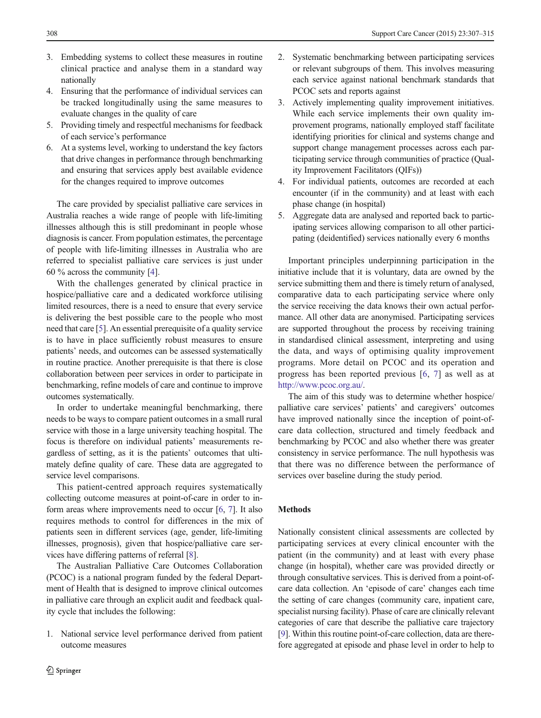- 3. Embedding systems to collect these measures in routine clinical practice and analyse them in a standard way nationally
- 4. Ensuring that the performance of individual services can be tracked longitudinally using the same measures to evaluate changes in the quality of care
- 5. Providing timely and respectful mechanisms for feedback of each service's performance
- 6. At a systems level, working to understand the key factors that drive changes in performance through benchmarking and ensuring that services apply best available evidence for the changes required to improve outcomes

The care provided by specialist palliative care services in Australia reaches a wide range of people with life-limiting illnesses although this is still predominant in people whose diagnosis is cancer. From population estimates, the percentage of people with life-limiting illnesses in Australia who are referred to specialist palliative care services is just under 60 % across the community [[4](#page-7-0)].

With the challenges generated by clinical practice in hospice/palliative care and a dedicated workforce utilising limited resources, there is a need to ensure that every service is delivering the best possible care to the people who most need that care [[5](#page-7-0)]. An essential prerequisite of a quality service is to have in place sufficiently robust measures to ensure patients' needs, and outcomes can be assessed systematically in routine practice. Another prerequisite is that there is close collaboration between peer services in order to participate in benchmarking, refine models of care and continue to improve outcomes systematically.

In order to undertake meaningful benchmarking, there needs to be ways to compare patient outcomes in a small rural service with those in a large university teaching hospital. The focus is therefore on individual patients' measurements regardless of setting, as it is the patients' outcomes that ultimately define quality of care. These data are aggregated to service level comparisons.

This patient-centred approach requires systematically collecting outcome measures at point-of-care in order to inform areas where improvements need to occur [[6,](#page-7-0) [7](#page-7-0)]. It also requires methods to control for differences in the mix of patients seen in different services (age, gender, life-limiting illnesses, prognosis), given that hospice/palliative care services have differing patterns of referral [\[8\]](#page-7-0).

The Australian Palliative Care Outcomes Collaboration (PCOC) is a national program funded by the federal Department of Health that is designed to improve clinical outcomes in palliative care through an explicit audit and feedback quality cycle that includes the following:

1. National service level performance derived from patient outcome measures

- 2. Systematic benchmarking between participating services or relevant subgroups of them. This involves measuring each service against national benchmark standards that PCOC sets and reports against
- 3. Actively implementing quality improvement initiatives. While each service implements their own quality improvement programs, nationally employed staff facilitate identifying priorities for clinical and systems change and support change management processes across each participating service through communities of practice (Quality Improvement Facilitators (QIFs))
- 4. For individual patients, outcomes are recorded at each encounter (if in the community) and at least with each phase change (in hospital)
- 5. Aggregate data are analysed and reported back to participating services allowing comparison to all other participating (deidentified) services nationally every 6 months

Important principles underpinning participation in the initiative include that it is voluntary, data are owned by the service submitting them and there is timely return of analysed, comparative data to each participating service where only the service receiving the data knows their own actual performance. All other data are anonymised. Participating services are supported throughout the process by receiving training in standardised clinical assessment, interpreting and using the data, and ways of optimising quality improvement programs. More detail on PCOC and its operation and progress has been reported previous [[6,](#page-7-0) [7\]](#page-7-0) as well as at [http://www.pcoc.org.au/.](http://www.pcoc.org.au/)

The aim of this study was to determine whether hospice/ palliative care services' patients' and caregivers' outcomes have improved nationally since the inception of point-ofcare data collection, structured and timely feedback and benchmarking by PCOC and also whether there was greater consistency in service performance. The null hypothesis was that there was no difference between the performance of services over baseline during the study period.

## Methods

Nationally consistent clinical assessments are collected by participating services at every clinical encounter with the patient (in the community) and at least with every phase change (in hospital), whether care was provided directly or through consultative services. This is derived from a point-ofcare data collection. An 'episode of care' changes each time the setting of care changes (community care, inpatient care, specialist nursing facility). Phase of care are clinically relevant categories of care that describe the palliative care trajectory [\[9](#page-7-0)]. Within this routine point-of-care collection, data are therefore aggregated at episode and phase level in order to help to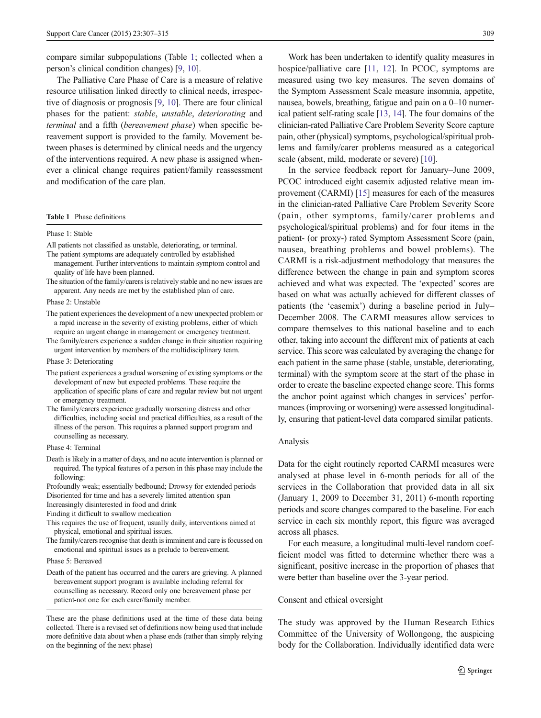compare similar subpopulations (Table 1; collected when a person's clinical condition changes) [\[9,](#page-7-0) [10\]](#page-7-0).

The Palliative Care Phase of Care is a measure of relative resource utilisation linked directly to clinical needs, irrespective of diagnosis or prognosis [\[9](#page-7-0), [10](#page-7-0)]. There are four clinical phases for the patient: stable, unstable, deteriorating and terminal and a fifth (bereavement phase) when specific bereavement support is provided to the family. Movement between phases is determined by clinical needs and the urgency of the interventions required. A new phase is assigned whenever a clinical change requires patient/family reassessment and modification of the care plan.

#### Table 1 Phase definitions

#### Phase 1: Stable

- All patients not classified as unstable, deteriorating, or terminal.
- The patient symptoms are adequately controlled by established management. Further interventions to maintain symptom control and
- quality of life have been planned. The situation of the family/carers is relatively stable and no new issues are apparent. Any needs are met by the established plan of care.

#### Phase 2: Unstable

- The patient experiences the development of a new unexpected problem or a rapid increase in the severity of existing problems, either of which require an urgent change in management or emergency treatment.
- The family/carers experience a sudden change in their situation requiring urgent intervention by members of the multidisciplinary team.
- Phase 3: Deteriorating
- The patient experiences a gradual worsening of existing symptoms or the development of new but expected problems. These require the application of specific plans of care and regular review but not urgent or emergency treatment.
- The family/carers experience gradually worsening distress and other difficulties, including social and practical difficulties, as a result of the illness of the person. This requires a planned support program and counselling as necessary.
- Phase 4: Terminal
- Death is likely in a matter of days, and no acute intervention is planned or required. The typical features of a person in this phase may include the following:
- Profoundly weak; essentially bedbound; Drowsy for extended periods Disoriented for time and has a severely limited attention span
- Increasingly disinterested in food and drink
- Finding it difficult to swallow medication
- This requires the use of frequent, usually daily, interventions aimed at physical, emotional and spiritual issues.
- The family/carers recognise that death is imminent and care is focussed on emotional and spiritual issues as a prelude to bereavement.

### Phase 5: Bereaved

Death of the patient has occurred and the carers are grieving. A planned bereavement support program is available including referral for counselling as necessary. Record only one bereavement phase per patient-not one for each carer/family member.

These are the phase definitions used at the time of these data being collected. There is a revised set of definitions now being used that include more definitive data about when a phase ends (rather than simply relying on the beginning of the next phase)

Work has been undertaken to identify quality measures in hospice/palliative care [[11](#page-7-0), [12](#page-7-0)]. In PCOC, symptoms are measured using two key measures. The seven domains of the Symptom Assessment Scale measure insomnia, appetite, nausea, bowels, breathing, fatigue and pain on a 0–10 numerical patient self-rating scale [[13](#page-7-0), [14](#page-7-0)]. The four domains of the clinician-rated Palliative Care Problem Severity Score capture pain, other (physical) symptoms, psychological/spiritual problems and family/carer problems measured as a categorical scale (absent, mild, moderate or severe) [\[10](#page-7-0)].

In the service feedback report for January–June 2009, PCOC introduced eight casemix adjusted relative mean improvement (CARMI) [\[15](#page-7-0)] measures for each of the measures in the clinician-rated Palliative Care Problem Severity Score (pain, other symptoms, family/carer problems and psychological/spiritual problems) and for four items in the patient- (or proxy-) rated Symptom Assessment Score (pain, nausea, breathing problems and bowel problems). The CARMI is a risk-adjustment methodology that measures the difference between the change in pain and symptom scores achieved and what was expected. The 'expected' scores are based on what was actually achieved for different classes of patients (the 'casemix') during a baseline period in July– December 2008. The CARMI measures allow services to compare themselves to this national baseline and to each other, taking into account the different mix of patients at each service. This score was calculated by averaging the change for each patient in the same phase (stable, unstable, deteriorating, terminal) with the symptom score at the start of the phase in order to create the baseline expected change score. This forms the anchor point against which changes in services' performances (improving or worsening) were assessed longitudinally, ensuring that patient-level data compared similar patients.

#### Analysis

Data for the eight routinely reported CARMI measures were analysed at phase level in 6-month periods for all of the services in the Collaboration that provided data in all six (January 1, 2009 to December 31, 2011) 6-month reporting periods and score changes compared to the baseline. For each service in each six monthly report, this figure was averaged across all phases.

For each measure, a longitudinal multi-level random coefficient model was fitted to determine whether there was a significant, positive increase in the proportion of phases that were better than baseline over the 3-year period.

#### Consent and ethical oversight

The study was approved by the Human Research Ethics Committee of the University of Wollongong, the auspicing body for the Collaboration. Individually identified data were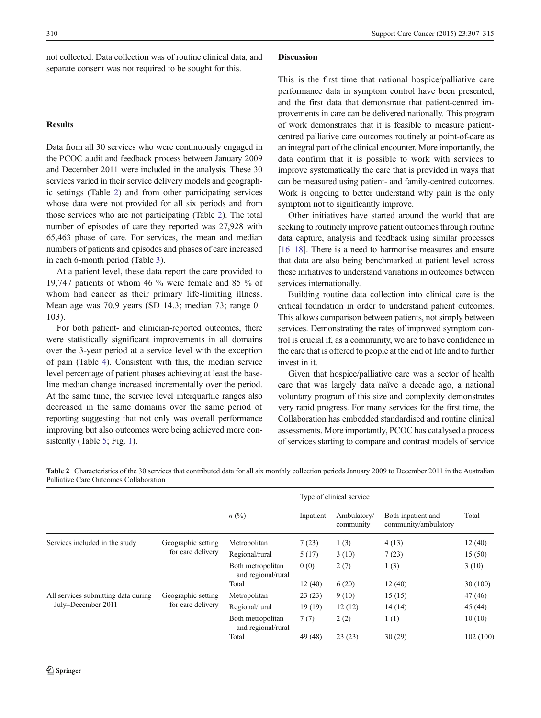not collected. Data collection was of routine clinical data, and separate consent was not required to be sought for this.

# **Results**

Data from all 30 services who were continuously engaged in the PCOC audit and feedback process between January 2009 and December 2011 were included in the analysis. These 30 services varied in their service delivery models and geographic settings (Table 2) and from other participating services whose data were not provided for all six periods and from those services who are not participating (Table 2). The total number of episodes of care they reported was 27,928 with 65,463 phase of care. For services, the mean and median numbers of patients and episodes and phases of care increased in each 6-month period (Table [3\)](#page-4-0).

At a patient level, these data report the care provided to 19,747 patients of whom 46 % were female and 85 % of whom had cancer as their primary life-limiting illness. Mean age was 70.9 years (SD 14.3; median 73; range 0– 103).

For both patient- and clinician-reported outcomes, there were statistically significant improvements in all domains over the 3-year period at a service level with the exception of pain (Table [4](#page-4-0)). Consistent with this, the median service level percentage of patient phases achieving at least the baseline median change increased incrementally over the period. At the same time, the service level interquartile ranges also decreased in the same domains over the same period of reporting suggesting that not only was overall performance improving but also outcomes were being achieved more con-sistently (Table [5;](#page-5-0) Fig. [1\)](#page-6-0).

## **Discussion**

This is the first time that national hospice/palliative care performance data in symptom control have been presented, and the first data that demonstrate that patient-centred improvements in care can be delivered nationally. This program of work demonstrates that it is feasible to measure patientcentred palliative care outcomes routinely at point-of-care as an integral part of the clinical encounter. More importantly, the data confirm that it is possible to work with services to improve systematically the care that is provided in ways that can be measured using patient- and family-centred outcomes. Work is ongoing to better understand why pain is the only symptom not to significantly improve.

Other initiatives have started around the world that are seeking to routinely improve patient outcomes through routine data capture, analysis and feedback using similar processes [\[16](#page-7-0)–[18\]](#page-7-0). There is a need to harmonise measures and ensure that data are also being benchmarked at patient level across these initiatives to understand variations in outcomes between services internationally.

Building routine data collection into clinical care is the critical foundation in order to understand patient outcomes. This allows comparison between patients, not simply between services. Demonstrating the rates of improved symptom control is crucial if, as a community, we are to have confidence in the care that is offered to people at the end of life and to further invest in it.

Given that hospice/palliative care was a sector of health care that was largely data naïve a decade ago, a national voluntary program of this size and complexity demonstrates very rapid progress. For many services for the first time, the Collaboration has embedded standardised and routine clinical assessments. More importantly, PCOC has catalysed a process of services starting to compare and contrast models of service

|                                                           |                                         |                                         | Type of clinical service |                          |                                            |           |  |
|-----------------------------------------------------------|-----------------------------------------|-----------------------------------------|--------------------------|--------------------------|--------------------------------------------|-----------|--|
|                                                           |                                         | $n\ (\%)$                               | Inpatient                | Ambulatory/<br>community | Both inpatient and<br>community/ambulatory | Total     |  |
| Services included in the study                            | Geographic setting<br>for care delivery | Metropolitan                            | 7(23)                    | 1(3)                     | 4(13)                                      | 12(40)    |  |
|                                                           |                                         | Regional/rural                          | 5(17)                    | 3(10)                    | 7(23)                                      | 15(50)    |  |
|                                                           |                                         | Both metropolitan<br>and regional/rural | 0(0)                     | 2(7)                     | 1(3)                                       | 3(10)     |  |
|                                                           |                                         | Total                                   | 12(40)                   | 6(20)                    | 12(40)                                     | 30(100)   |  |
| All services submitting data during<br>July-December 2011 | Geographic setting<br>for care delivery | Metropolitan                            | 23(23)                   | 9(10)                    | 15(15)                                     | 47(46)    |  |
|                                                           |                                         | Regional/rural                          | 19(19)                   | 12(12)                   | 14(14)                                     | 45 (44)   |  |
|                                                           |                                         | Both metropolitan<br>and regional/rural | 7(7)                     | 2(2)                     | 1(1)                                       | 10(10)    |  |
|                                                           |                                         | Total                                   | 49 (48)                  | 23(23)                   | 30(29)                                     | 102 (100) |  |

Table 2 Characteristics of the 30 services that contributed data for all six monthly collection periods January 2009 to December 2011 in the Australian Palliative Care Outcomes Collaboration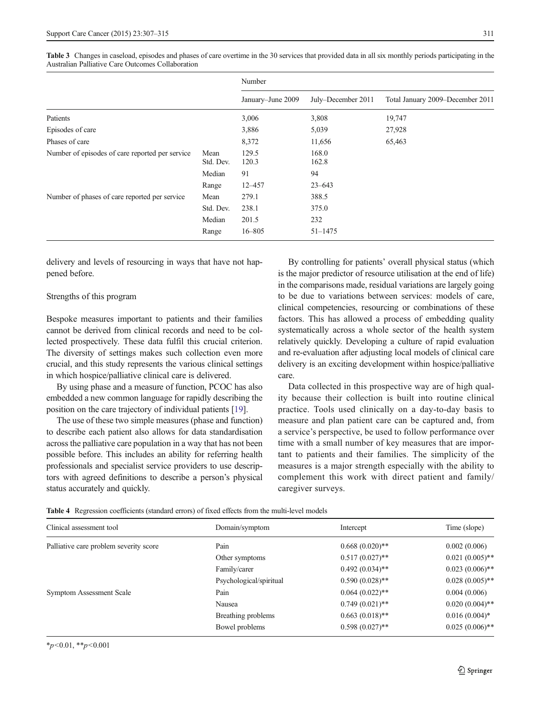<span id="page-4-0"></span>

| Table 3 Changes in caseload, episodes and phases of care overtime in the 30 services that provided data in all six monthly periods participating in the |  |
|---------------------------------------------------------------------------------------------------------------------------------------------------------|--|
| Australian Palliative Care Outcomes Collaboration                                                                                                       |  |

|                                                 |                   | Number            |                    |                                  |  |  |
|-------------------------------------------------|-------------------|-------------------|--------------------|----------------------------------|--|--|
|                                                 |                   | January-June 2009 | July-December 2011 | Total January 2009-December 2011 |  |  |
| Patients                                        |                   | 3,006             | 3,808              | 19,747                           |  |  |
| Episodes of care                                |                   | 3,886             | 5,039              | 27,928                           |  |  |
| Phases of care                                  | 8,372             | 11,656            | 65,463             |                                  |  |  |
| Number of episodes of care reported per service | Mean<br>Std. Dev. | 129.5<br>120.3    | 168.0<br>162.8     |                                  |  |  |
|                                                 | Median            | 91                | 94                 |                                  |  |  |
|                                                 | Range             | 12-457            | $23 - 643$         |                                  |  |  |
| Number of phases of care reported per service   | Mean              | 279.1             | 388.5              |                                  |  |  |
|                                                 | Std. Dev.         | 238.1             | 375.0              |                                  |  |  |
|                                                 | Median            | 201.5             | 232                |                                  |  |  |
|                                                 | Range             | $16 - 805$        | $51 - 1475$        |                                  |  |  |

delivery and levels of resourcing in ways that have not happened before.

## Strengths of this program

Bespoke measures important to patients and their families cannot be derived from clinical records and need to be collected prospectively. These data fulfil this crucial criterion. The diversity of settings makes such collection even more crucial, and this study represents the various clinical settings in which hospice/palliative clinical care is delivered.

By using phase and a measure of function, PCOC has also embedded a new common language for rapidly describing the position on the care trajectory of individual patients [\[19\]](#page-8-0).

The use of these two simple measures (phase and function) to describe each patient also allows for data standardisation across the palliative care population in a way that has not been possible before. This includes an ability for referring health professionals and specialist service providers to use descriptors with agreed definitions to describe a person's physical status accurately and quickly.

By controlling for patients' overall physical status (which is the major predictor of resource utilisation at the end of life) in the comparisons made, residual variations are largely going to be due to variations between services: models of care, clinical competencies, resourcing or combinations of these factors. This has allowed a process of embedding quality systematically across a whole sector of the health system relatively quickly. Developing a culture of rapid evaluation and re-evaluation after adjusting local models of clinical care delivery is an exciting development within hospice/palliative care.

Data collected in this prospective way are of high quality because their collection is built into routine clinical practice. Tools used clinically on a day-to-day basis to measure and plan patient care can be captured and, from a service's perspective, be used to follow performance over time with a small number of key measures that are important to patients and their families. The simplicity of the measures is a major strength especially with the ability to complement this work with direct patient and family/ caregiver surveys.

|  |  | <b>Table 4</b> Regression coefficients (standard errors) of fixed effects from the multi-level models |  |  |  |  |  |  |  |  |
|--|--|-------------------------------------------------------------------------------------------------------|--|--|--|--|--|--|--|--|
|--|--|-------------------------------------------------------------------------------------------------------|--|--|--|--|--|--|--|--|

| Clinical assessment tool               | Domain/symptom          | Intercept         | Time (slope)      |
|----------------------------------------|-------------------------|-------------------|-------------------|
| Palliative care problem severity score | Pain                    | $0.668(0.020)$ ** | 0.002(0.006)      |
|                                        | Other symptoms          | $0.517(0.027)$ ** | $0.021(0.005)$ ** |
|                                        | Family/carer            | $0.492(0.034)$ ** | $0.023(0.006)$ ** |
|                                        | Psychological/spiritual | $0.590(0.028)$ ** | $0.028(0.005)$ ** |
| <b>Symptom Assessment Scale</b>        | Pain                    | $0.064(0.022)$ ** | 0.004(0.006)      |
|                                        | Nausea                  | $0.749(0.021)$ ** | $0.020(0.004)$ ** |
|                                        | Breathing problems      | $0.663(0.018)$ ** | $0.016(0.004)$ *  |
|                                        | Bowel problems          | $0.598(0.027)$ ** | $0.025(0.006)$ ** |

 $*_{p<0.01,**_{p}<0.001}$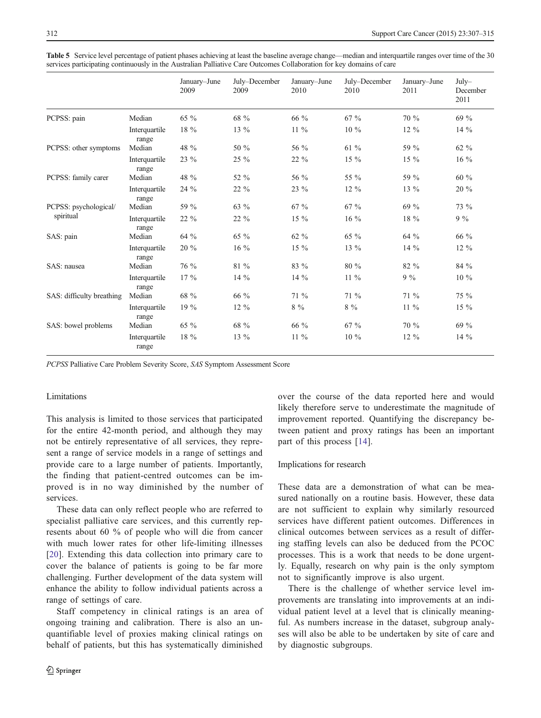<span id="page-5-0"></span>Table 5 Service level percentage of patient phases achieving at least the baseline average change—median and interquartile ranges over time of the 30 services participating continuously in the Australian Palliative Care Outcomes Collaboration for key domains of care

|                                    |                        | January-June<br>2009 | July-December<br>2009 | January-June<br>2010 | July-December<br>2010 | January-June<br>2011 | $July-$<br>December<br>2011 |
|------------------------------------|------------------------|----------------------|-----------------------|----------------------|-----------------------|----------------------|-----------------------------|
| PCPSS: pain                        | Median                 | 65 %                 | 68 %                  | 66 %                 | 67 %                  | 70 %                 | 69 %                        |
|                                    | Interquartile<br>range | 18 %                 | 13 %                  | $11\%$               | 10 %                  | $12\%$               | 14 %                        |
| PCPSS: other symptoms              | Median                 | 48 %                 | 50 %                  | 56 %                 | 61 %                  | 59 %                 | 62 %                        |
|                                    | Interquartile<br>range | 23 %                 | 25 %                  | 22 %                 | 15 %                  | $15\%$               | 16 %                        |
| PCPSS: family carer                | Median                 | 48 %                 | 52 %                  | 56 %                 | 55 %                  | 59 %                 | 60 %                        |
|                                    | Interquartile<br>range | 24 %                 | 22 %                  | 23 %                 | 12 %                  | 13 %                 | 20 %                        |
| PCPSS: psychological/<br>spiritual | Median                 | 59 %                 | 63 %                  | 67 %                 | 67 %                  | 69 %                 | 73 %                        |
|                                    | Interquartile<br>range | $22\%$               | 22 %                  | $15\%$               | 16 %                  | 18 %                 | $9\%$                       |
| SAS: pain                          | Median                 | 64 %                 | 65 %                  | 62 $%$               | 65 %                  | 64 %                 | 66 %                        |
|                                    | Interquartile<br>range | $20\%$               | $16\%$                | $15\%$               | $13\%$                | $14\%$               | 12 %                        |
| SAS: nausea                        | Median                 | 76 %                 | 81 %                  | 83 %                 | 80 %                  | 82 %                 | 84 %                        |
|                                    | Interquartile<br>range | $17\%$               | $14\%$                | $14\%$               | $11\%$                | $9\%$                | $10\%$                      |
| SAS: difficulty breathing          | Median                 | 68 %                 | 66 %                  | 71 %                 | 71 %                  | $71\%$               | 75 %                        |
|                                    | Interquartile<br>range | $19\%$               | 12 %                  | $8\%$                | $8\%$                 | $11\%$               | 15 %                        |
| SAS: bowel problems                | Median                 | 65 %                 | 68 %                  | 66 %                 | 67 %                  | 70 %                 | 69 %                        |
|                                    | Interquartile<br>range | 18 %                 | $13\%$                | $11\%$               | 10 %                  | 12 %                 | 14 %                        |

PCPSS Palliative Care Problem Severity Score, SAS Symptom Assessment Score

## Limitations

This analysis is limited to those services that participated for the entire 42-month period, and although they may not be entirely representative of all services, they represent a range of service models in a range of settings and provide care to a large number of patients. Importantly, the finding that patient-centred outcomes can be improved is in no way diminished by the number of services.

These data can only reflect people who are referred to specialist palliative care services, and this currently represents about 60 % of people who will die from cancer with much lower rates for other life-limiting illnesses [\[20\]](#page-8-0). Extending this data collection into primary care to cover the balance of patients is going to be far more challenging. Further development of the data system will enhance the ability to follow individual patients across a range of settings of care.

Staff competency in clinical ratings is an area of ongoing training and calibration. There is also an unquantifiable level of proxies making clinical ratings on behalf of patients, but this has systematically diminished

over the course of the data reported here and would likely therefore serve to underestimate the magnitude of improvement reported. Quantifying the discrepancy between patient and proxy ratings has been an important part of this process [\[14\]](#page-7-0).

## Implications for research

These data are a demonstration of what can be measured nationally on a routine basis. However, these data are not sufficient to explain why similarly resourced services have different patient outcomes. Differences in clinical outcomes between services as a result of differing staffing levels can also be deduced from the PCOC processes. This is a work that needs to be done urgently. Equally, research on why pain is the only symptom not to significantly improve is also urgent.

There is the challenge of whether service level improvements are translating into improvements at an individual patient level at a level that is clinically meaningful. As numbers increase in the dataset, subgroup analyses will also be able to be undertaken by site of care and by diagnostic subgroups.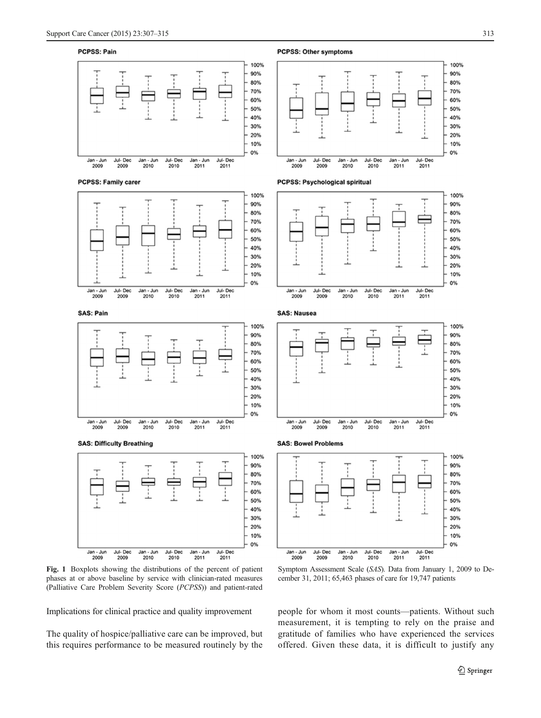<span id="page-6-0"></span>

Fig. 1 Boxplots showing the distributions of the percent of patient phases at or above baseline by service with clinician-rated measures (Palliative Care Problem Severity Score (PCPSS)) and patient-rated

Implications for clinical practice and quality improvement

The quality of hospice/palliative care can be improved, but this requires performance to be measured routinely by the people for whom it most counts—patients. Without such measurement, it is tempting to rely on the praise and

Symptom Assessment Scale (SAS). Data from January 1, 2009 to De-

cember 31, 2011; 65,463 phases of care for 19,747 patients

gratitude of families who have experienced the services offered. Given these data, it is difficult to justify any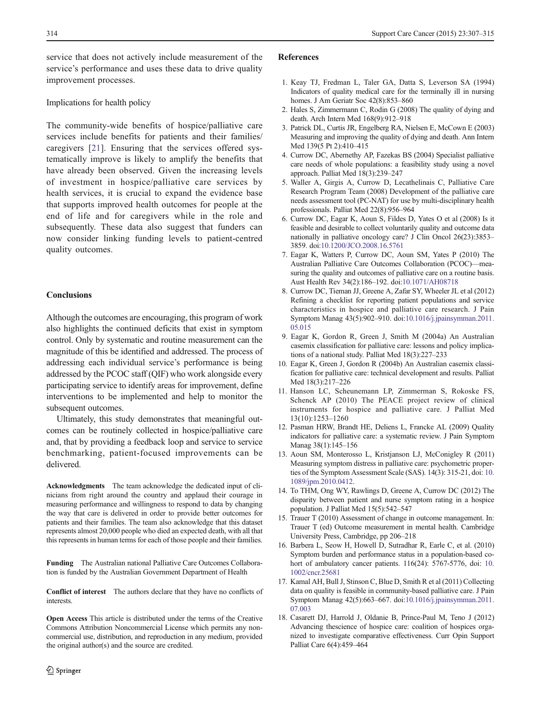<span id="page-7-0"></span>service that does not actively include measurement of the service's performance and uses these data to drive quality improvement processes.

# Implications for health policy

The community-wide benefits of hospice/palliative care services include benefits for patients and their families/ caregivers [[21](#page-8-0)]. Ensuring that the services offered systematically improve is likely to amplify the benefits that have already been observed. Given the increasing levels of investment in hospice/palliative care services by health services, it is crucial to expand the evidence base that supports improved health outcomes for people at the end of life and for caregivers while in the role and subsequently. These data also suggest that funders can now consider linking funding levels to patient-centred quality outcomes.

# **Conclusions**

Although the outcomes are encouraging, this program of work also highlights the continued deficits that exist in symptom control. Only by systematic and routine measurement can the magnitude of this be identified and addressed. The process of addressing each individual service's performance is being addressed by the PCOC staff (QIF) who work alongside every participating service to identify areas for improvement, define interventions to be implemented and help to monitor the subsequent outcomes.

Ultimately, this study demonstrates that meaningful outcomes can be routinely collected in hospice/palliative care and, that by providing a feedback loop and service to service benchmarking, patient-focused improvements can be delivered.

Acknowledgments The team acknowledge the dedicated input of clinicians from right around the country and applaud their courage in measuring performance and willingness to respond to data by changing the way that care is delivered in order to provide better outcomes for patients and their families. The team also acknowledge that this dataset represents almost 20,000 people who died an expected death, with all that this represents in human terms for each of those people and their families.

Funding The Australian national Palliative Care Outcomes Collaboration is funded by the Australian Government Department of Health

Conflict of interest The authors declare that they have no conflicts of interests.

Open Access This article is distributed under the terms of the Creative Commons Attribution Noncommercial License which permits any noncommercial use, distribution, and reproduction in any medium, provided the original author(s) and the source are credited.

## References

- 1. Keay TJ, Fredman L, Taler GA, Datta S, Leverson SA (1994) Indicators of quality medical care for the terminally ill in nursing homes. J Am Geriatr Soc 42(8):853-860
- 2. Hales S, Zimmermann C, Rodin G (2008) The quality of dying and death. Arch Intern Med 168(9):912–918
- 3. Patrick DL, Curtis JR, Engelberg RA, Nielsen E, McCown E (2003) Measuring and improving the quality of dying and death. Ann Intern Med 139(5 Pt 2):410–415
- 4. Currow DC, Abernethy AP, Fazekas BS (2004) Specialist palliative care needs of whole populations: a feasibility study using a novel approach. Palliat Med 18(3):239–247
- 5. Waller A, Girgis A, Currow D, Lecathelinais C, Palliative Care Research Program Team (2008) Development of the palliative care needs assessment tool (PC-NAT) for use by multi-disciplinary health professionals. Palliat Med 22(8):956–964
- 6. Currow DC, Eagar K, Aoun S, Fildes D, Yates O et al (2008) Is it feasible and desirable to collect voluntarily quality and outcome data nationally in palliative oncology care? J Clin Oncol 26(23):3853– 3859. doi[:10.1200/JCO.2008.16.5761](http://dx.doi.org/10.1200/JCO.2008.16.5761)
- 7. Eagar K, Watters P, Currow DC, Aoun SM, Yates P (2010) The Australian Palliative Care Outcomes Collaboration (PCOC)—measuring the quality and outcomes of palliative care on a routine basis. Aust Health Rev 34(2):186–192. doi[:10.1071/AH08718](http://dx.doi.org/10.1071/AH08718)
- 8. Currow DC, Tieman JJ, Greene A, Zafar SY, Wheeler JL et al (2012) Refining a checklist for reporting patient populations and service characteristics in hospice and palliative care research. J Pain Symptom Manag 43(5):902–910. doi[:10.1016/j.jpainsymman.2011.](http://dx.doi.org/10.1016/j.jpainsymman.2011.05.015) [05.015](http://dx.doi.org/10.1016/j.jpainsymman.2011.05.015)
- 9. Eagar K, Gordon R, Green J, Smith M (2004a) An Australian casemix classification for palliative care: lessons and policy implications of a national study. Palliat Med 18(3):227–233
- 10. Eagar K, Green J, Gordon R (2004b) An Australian casemix classification for palliative care: technical development and results. Palliat Med 18(3):217–226
- 11. Hanson LC, Scheunemann LP, Zimmerman S, Rokoske FS, Schenck AP (2010) The PEACE project review of clinical instruments for hospice and palliative care. J Palliat Med 13(10):1253–1260
- 12. Pasman HRW, Brandt HE, Deliens L, Francke AL (2009) Quality indicators for palliative care: a systematic review. J Pain Symptom Manag 38(1):145–156
- 13. Aoun SM, Monterosso L, Kristjanson LJ, McConigley R (2011) Measuring symptom distress in palliative care: psychometric properties of the Symptom Assessment Scale (SAS). 14(3): 315-21, doi: [10.](http://dx.doi.org/10.1089/jpm.2010.0412) [1089/jpm.2010.0412](http://dx.doi.org/10.1089/jpm.2010.0412).
- 14. To THM, Ong WY, Rawlings D, Greene A, Currow DC (2012) The disparity between patient and nurse symptom rating in a hospice population. J Palliat Med 15(5):542–547
- 15. Trauer T (2010) Assessment of change in outcome management. In: Trauer T (ed) Outcome measurement in mental health. Cambridge University Press, Cambridge, pp 206–218
- 16. Barbera L, Seow H, Howell D, Sutradhar R, Earle C, et al. (2010) Symptom burden and performance status in a population-based cohort of ambulatory cancer patients. 116(24): 5767-5776, doi: [10.](http://dx.doi.org/10.1002/cncr.25681) [1002/cncr.25681](http://dx.doi.org/10.1002/cncr.25681)
- 17. Kamal AH, Bull J, Stinson C, Blue D, Smith R et al (2011) Collecting data on quality is feasible in community-based palliative care. J Pain Symptom Manag 42(5):663–667. doi[:10.1016/j.jpainsymman.2011.](http://dx.doi.org/10.1016/j.jpainsymman.2011.07.003) [07.003](http://dx.doi.org/10.1016/j.jpainsymman.2011.07.003)
- 18. Casarett DJ, Harrold J, Oldanie B, Prince-Paul M, Teno J (2012) Advancing thescience of hospice care: coalition of hospices organized to investigate comparative effectiveness. Curr Opin Support Palliat Care 6(4):459–464